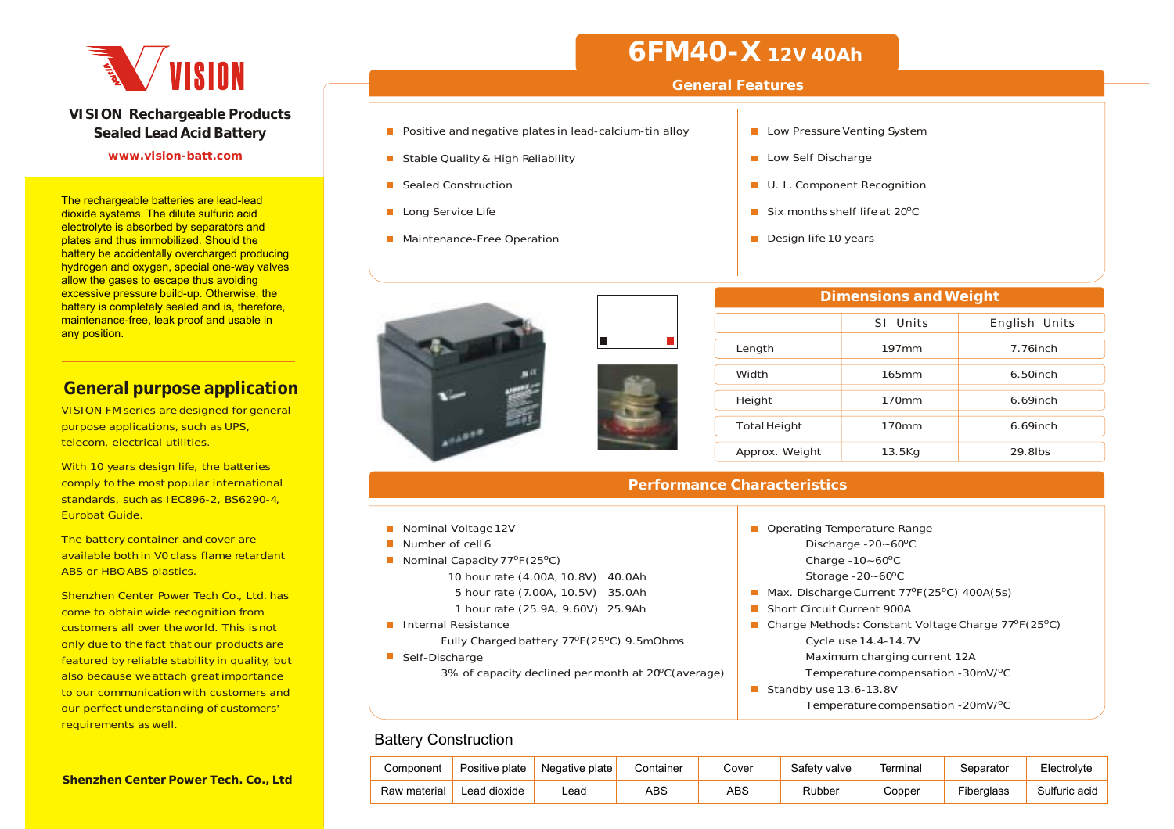

#### **VISION Rechargeable Products Sealed Lead Acid Battery**

#### **www.vision-batt.com**

The rechargeable batteries are lead-lead dioxide systems. The dilute sulfuric acid electrolyte is absorbed by separators and plates and thus immobilized. Should the battery be accidentally overcharged producing hydrogen and oxygen, special one-way valves allow the gases to escape thus avoiding excessive pressure build-up. Otherwise, the battery is completely sealed and is, therefore, maintenance-free, leak proof and usable in any position.

### **General purpose application**

VISION FM series are designed for general purpose applications, such as UPS, telecom, electrical utilities.

With 10 years design life, the batteries comply to the most popular international standards, such as IEC896-2, BS6290-4, Eurobat Guide.

The battery container and cover are available both in V0 class flame retardantABS or HBO ABS plastics.

Shenzhen Center Power Tech Co., Ltd. has come to obtain wide recognition from customers all over the world. This is not only due to the fact that our products are featured by reliable stability in quality, but also because weattach great importance to our communicationwith customers andour perfect understanding of customers' requirements as well.

## **6FM40-X 12V 40Ah**

#### **General Features**

- **Positive and negative plates in lead-calcium-tin alloy**
- Stable Quality & High Reliability
- Sealed Construction
- **Long Service Life**
- **Maintenance-Free Operation**



|  | Low Pressure Venting System |  |
|--|-----------------------------|--|

- Low Self Discharge
- **U. L. Component Recognition**
- Six months shelf life at 20ºC
- Design life 10 years

| <b>Dimensions and Weight</b> |          |               |  |  |  |  |  |  |  |  |  |  |
|------------------------------|----------|---------------|--|--|--|--|--|--|--|--|--|--|
|                              | SI Units | English Units |  |  |  |  |  |  |  |  |  |  |
| Length                       | 197mm    | 7.76inch      |  |  |  |  |  |  |  |  |  |  |
| Width                        | 165mm    | $6.50$ inch   |  |  |  |  |  |  |  |  |  |  |
| Height                       | 170mm    | $6.69$ inch   |  |  |  |  |  |  |  |  |  |  |
| <b>Total Height</b>          | 170mm    | $6.69$ inch   |  |  |  |  |  |  |  |  |  |  |
| Approx. Weight               | 13.5Kg   | 29.8lbs       |  |  |  |  |  |  |  |  |  |  |

#### **Performance Characteristics**

- Number of cell 6
- Nominal Capacity 77ºF(25ºC) 10 hour rate (4.00A, 10.8V) 5 hour rate (7.00A, 10.5V)
	- 1 hour rate (25.9A, 9.60V)
- Internal Resistance
	- Fully Charged battery 77ºF(25ºC) 9.5mOhms
- Self-Discharge

o3% of capacity declined per

|                            | Operating Temperature Range                         |
|----------------------------|-----------------------------------------------------|
|                            | Discharge $-20 - 60^{\circ}$ C                      |
|                            | Charge $-10 - 60^{\circ}$ C                         |
| ( ا<br>40.0Ah              | Storage $-20 - 60^{\circ}$ C                        |
| $\left( \right)$<br>35.0Ah | Max. Discharge Current 77°F (25°C) 400A (5s)        |
| /) 25.9Ah                  | <b>Short Circuit Current 900A</b>                   |
|                            | Charge Methods: Constant Voltage Charge 77°F (25°C) |
| 25°C) 9.5mOhms             | Cycle use 14.4-14.7V                                |
|                            | Maximum charging current 12A                        |
| month at 20ºC(average) m   | Temperature compensation -30mV/ <sup>o</sup> C      |
|                            | Standby use 13.6-13.8V                              |
|                            | Temperature compensation -20mV/ <sup>o</sup> C      |

### Battery Construction

| Component    | Positive plate | Negative plate | Container | Cover | Safety valve | Terminal | ieparator  | Electrolvte   |
|--------------|----------------|----------------|-----------|-------|--------------|----------|------------|---------------|
| Raw material | Lead dioxide   | -ead           | ABS       | ABS   | Rubber       | Copper   | Fiberglass | Sulfuric acid |

**Shenzhen Center Power Tech. Co., Ltd**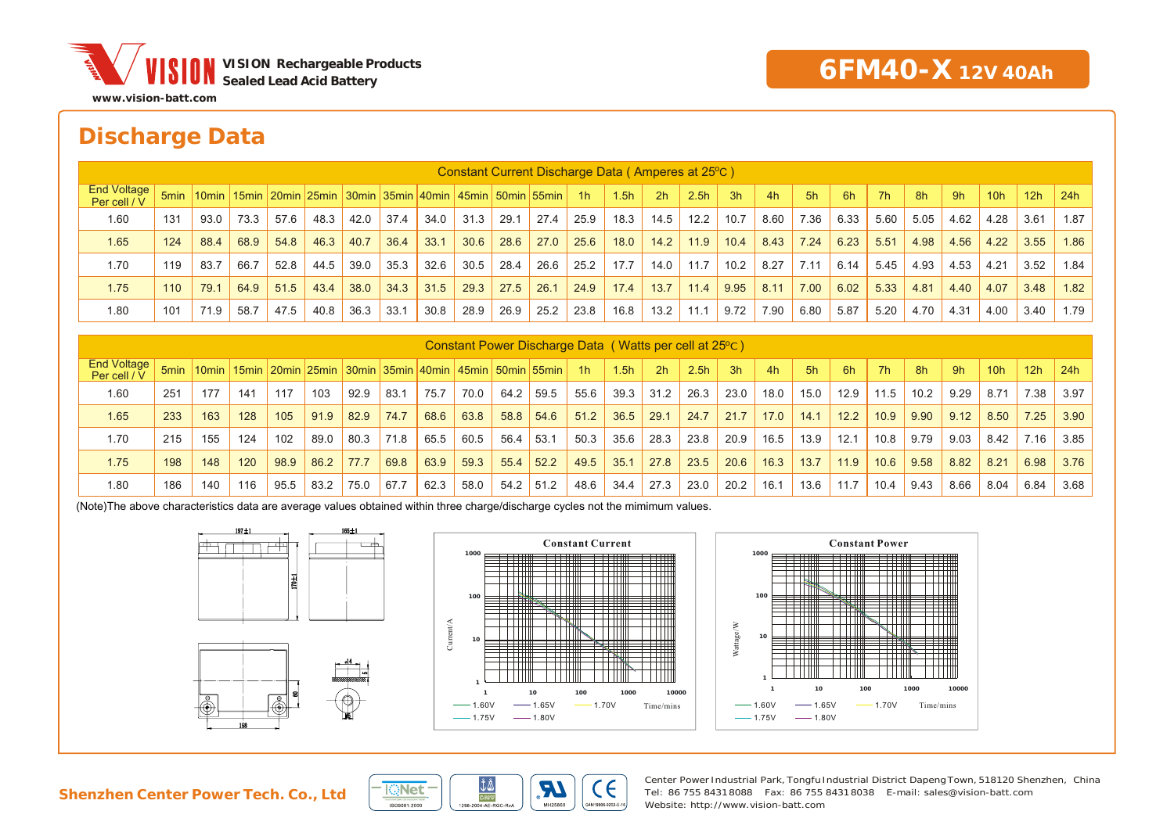

### **Discharge Data**

|                                    | Constant Current Discharge Data (Amperes at 25 °C) |      |      |      |      |      |      |      |      |      |      |                |      |      |                  |      |      |      |      |      |      |      |                 |      |      |
|------------------------------------|----------------------------------------------------|------|------|------|------|------|------|------|------|------|------|----------------|------|------|------------------|------|------|------|------|------|------|------|-----------------|------|------|
| <b>End Voltage</b><br>Per cell / V |                                                    |      |      |      |      |      |      |      |      |      |      | 1 <sup>h</sup> | 1.5h | 2h   | 2.5 <sub>h</sub> | 3h   | 4h   | 5h   | 6h   | 7h   | 8h   | 9h   | 10 <sub>h</sub> | 12h  | 24h  |
| 1.60                               | 131                                                | 93.0 | 73.3 | 57.6 | 48.3 | 42.0 | 37.4 | 34.0 | 31.3 | 29.1 | 27.4 | 25.9           | 18.3 | 14.5 | 12.2             | 10.7 | 8.60 | 7.36 | 6.33 | 5.60 | 5.05 | 4.62 | 4.28            | 3.61 | 1.87 |
| 1.65                               | 124                                                | 88.4 | 68.9 | 54.8 | 46.3 | 40.7 | 36.4 | 33.1 | 30.6 | 28.6 | 27.0 | 25.6           | 18.0 | 14.2 | 11.9             | 10.4 | 8.43 | 7.24 | 6.23 | 5.51 | 4.98 | 4.56 | 4.22            | 3.55 | 1.86 |
| 1.70                               | 119                                                | 83.7 | 66.7 | 52.8 | 44.5 | 39.0 | 35.3 | 32.6 | 30.5 | 28.4 | 26.6 | 25.2           | 17.7 | 14.0 | 11.7             | 10.2 | 8.27 | 7.11 | 6.14 | 5.45 | 4.93 | 4.53 | 4.21            | 3.52 | 1.84 |
| 1.75                               | 110                                                | 79.1 | 64.9 | 51.5 | 43.4 | 38.0 | 34.3 | 31.5 | 29.3 | 27.5 | 26.1 | 24.9           | 17.4 | 13.7 | 11.4             | 9.95 | 8.11 | 7.00 | 6.02 | 5.33 | 4.81 | 4.40 | 4.07            | 3.48 | 1.82 |
| 1.80                               | 101                                                | 71.9 | 58.7 | 47.5 | 40.8 | 36.3 | 33.1 | 30.8 | 28.9 | 26.9 | 25.2 | 23.8           | 16.8 | 13.2 | 11.1             | 9.72 | 7.90 | 6.80 | 5.87 | 5.20 | 4.70 | 4.31 | 4.00            | 3.40 | 1.79 |

|                                    | Constant Power Discharge Data (Watts per cell at 25 <sup>o</sup> C) |     |     |      |      |      |      |      |      |      |                                                                                          |      |      |                |                  |      |      |      |      |           |      |      |      |      |      |
|------------------------------------|---------------------------------------------------------------------|-----|-----|------|------|------|------|------|------|------|------------------------------------------------------------------------------------------|------|------|----------------|------------------|------|------|------|------|-----------|------|------|------|------|------|
| <b>End Voltage</b><br>Per cell / V |                                                                     |     |     |      |      |      |      |      |      |      | 50 55min   10min   15min   20min   25min   30min   35min   40min   45min   50min   55min | 1h   | 1.5h | 2 <sub>h</sub> | 2.5 <sub>h</sub> | 3h   | 4h   | 5h   | -6h  | <b>7h</b> | 8h   | 9h   | 10h  | 12h  | 24h  |
| 1.60                               | 251                                                                 | 177 | 141 | 117  | 103  | 92.9 | 83.1 | 75.7 | 70.0 | 64.2 | 59.5                                                                                     | 55.6 | 39.3 | 31.2           | 26.3             | 23.0 | 18.0 | 15.0 | 12.9 | 11.5      | 10.2 | 9.29 | 8.71 | 7.38 | 3.97 |
| 1.65                               | 233                                                                 | 163 | 128 | 105  | 91.9 | 82.9 | 74.7 | 68.6 | 63.8 | 58.8 | 54.6                                                                                     | 51.2 | 36.5 | 29.1           | 24.7             | 21.7 | 17.0 | 14.1 | 12.2 | 10.9      | 9.90 | 9.12 | 8.50 | 7.25 | 3.90 |
| 1.70                               | 215                                                                 | 155 | 124 | 102  | 89.0 | 80.3 | 71.8 | 65.5 | 60.5 | 56.4 | 53.1                                                                                     | 50.3 | 35.6 | 28.3           | 23.8             | 20.9 | 16.5 | 13.9 | 12.1 | 10.8      | 9.79 | 9.03 | 8.42 | 7.16 | 3.85 |
| 1.75                               | 198                                                                 | 148 | 120 | 98.9 | 86.2 | 77.7 | 69.8 | 63.9 | 59.3 | 55.4 | 52.2                                                                                     | 49.5 | 35.1 | 27.8           | 23.5             | 20.6 | 16.3 | 13.7 | 11.9 | 10.6      | 9.58 | 8.82 | 8.21 | 6.98 | 3.76 |
| 1.80                               | 186                                                                 | 140 | 116 | 95.5 | 83.2 | 75.0 | 67.7 | 62.3 | 58.0 | 54.2 | 51.2                                                                                     | 48.6 | 34.4 | 27.3           | 23.0             | 20.2 | 16.1 | 13.6 | 11.7 | 10.4      | 9.43 | 8.66 | 8.04 | 6.84 | 3.68 |

(Note)The above characteristics data are average values obtained within three charge/discharge cycles not the mimimum values.









Center Power Industrial Park, Tongfu Industrial District Dapeng Town, 518120 Shenzhen, China Tel: 86 755 84318088 Fax: 86 755 84318038 E-mail: sales@vision-batt.comWebsite: http://www.vision-batt.com